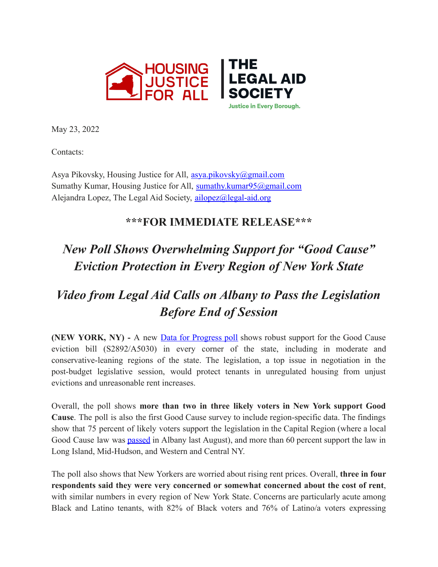

May 23, 2022

Contacts:

Asya Pikovsky, Housing Justice for All, asya.pikovsky@gmail.com Sumathy Kumar, Housing Justice for All, sumathy.kumar95@gmail.com Alejandra Lopez, The Legal Aid Society, ailopez@legal-aid.org

## **\*\*\*FOR IMMEDIATE RELEASE\*\*\***

## *New Poll Shows Overwhelming Support for "Good Cause" Eviction Protection in Every Region of New York State*

## *Video from Legal Aid Calls on Albany to Pass the Legislation Before End of Session*

**(NEW YORK, NY) -** A new Data for [Progress](https://nam10.safelinks.protection.outlook.com/?url=https%3A%2F%2Fwww.filesforprogress.org%2Fdatasets%2F2022%2F5%2Fdfp_good_cause_may_2022.pdf&data=05%7C01%7CJVacanti%40legal-aid.org%7C0c5d8dfe08b44b691ce908da3cf2b29d%7Cf226ccf384ef49ca9b0a9b565b2f0f06%7C0%7C0%7C637889310350581063%7CUnknown%7CTWFpbGZsb3d8eyJWIjoiMC4wLjAwMDAiLCJQIjoiV2luMzIiLCJBTiI6Ik1haWwiLCJXVCI6Mn0%3D%7C3000%7C%7C%7C&sdata=tCbDIoEjsU7kPttK4y1omjf4jeqHdcx6LErdWCUD1p4%3D&reserved=0) poll shows robust support for the Good Cause eviction bill (S2892/A5030) in every corner of the state, including in moderate and conservative-leaning regions of the state. The legislation, a top issue in negotiation in the post-budget legislative session, would protect tenants in unregulated housing from unjust evictions and unreasonable rent increases.

Overall, the poll shows **more than two in three likely voters in New York support Good Cause**. The poll is also the first Good Cause survey to include region-specific data. The findings show that 75 percent of likely voters support the legislation in the Capital Region (where a local Good Cause law was **[passed](https://nam10.safelinks.protection.outlook.com/?url=https%3A%2F%2Ftherealdeal.com%2F2021%2F07%2F20%2Falbany-passes-good-cause-eviction-bill-tenant-advocates-vow-rest-of-ny-is-next%2F&data=05%7C01%7CJVacanti%40legal-aid.org%7C0c5d8dfe08b44b691ce908da3cf2b29d%7Cf226ccf384ef49ca9b0a9b565b2f0f06%7C0%7C0%7C637889310350581063%7CUnknown%7CTWFpbGZsb3d8eyJWIjoiMC4wLjAwMDAiLCJQIjoiV2luMzIiLCJBTiI6Ik1haWwiLCJXVCI6Mn0%3D%7C3000%7C%7C%7C&sdata=9vsO%2FkdJfR2noxJ6kLSO8V2CUIcEm6Ufi1cYpbg8bHM%3D&reserved=0)** in Albany last August), and more than 60 percent support the law in Long Island, Mid-Hudson, and Western and Central NY.

The poll also shows that New Yorkers are worried about rising rent prices. Overall, **three in four respondents said they were very concerned or somewhat concerned about the cost of rent**, with similar numbers in every region of New York State. Concerns are particularly acute among Black and Latino tenants, with 82% of Black voters and 76% of Latino/a voters expressing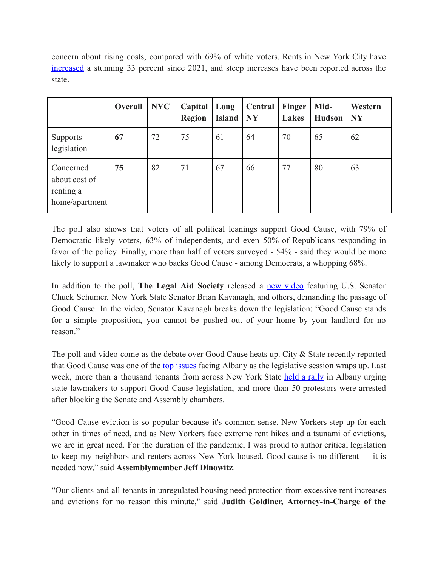concern about rising costs, compared with 69% of white voters. Rents in New York City have [increased](https://nam10.safelinks.protection.outlook.com/?url=https%3A%2F%2Fwww.nytimes.com%2F2022%2F03%2F07%2Fnyregion%2Fnyc-rent-surge.html&data=05%7C01%7CJVacanti%40legal-aid.org%7C0c5d8dfe08b44b691ce908da3cf2b29d%7Cf226ccf384ef49ca9b0a9b565b2f0f06%7C0%7C0%7C637889310350581063%7CUnknown%7CTWFpbGZsb3d8eyJWIjoiMC4wLjAwMDAiLCJQIjoiV2luMzIiLCJBTiI6Ik1haWwiLCJXVCI6Mn0%3D%7C3000%7C%7C%7C&sdata=S1xns3P%2BzjVo8wpCAgeE06L0xxKenag%2FLC6Gf5emp2w%3D&reserved=0) a stunning 33 percent since 2021, and steep increases have been reported across the state.

|                                                           | Overall | NYC | Capital<br><b>Region</b> | Long<br><b>Island</b> | Central<br><b>NY</b> | Finger<br>Lakes | Mid-<br><b>Hudson</b> | Western<br><b>NY</b> |
|-----------------------------------------------------------|---------|-----|--------------------------|-----------------------|----------------------|-----------------|-----------------------|----------------------|
| <b>Supports</b><br>legislation                            | 67      | 72  | 75                       | 61                    | 64                   | 70              | 65                    | 62                   |
| Concerned<br>about cost of<br>renting a<br>home/apartment | 75      | 82  | 71                       | 67                    | 66                   | 77              | 80                    | 63                   |

The poll also shows that voters of all political leanings support Good Cause, with 79% of Democratic likely voters, 63% of independents, and even 50% of Republicans responding in favor of the policy. Finally, more than half of voters surveyed - 54% - said they would be more likely to support a lawmaker who backs Good Cause - among Democrats, a whopping 68%.

In addition to the poll, **The Legal Aid Society** released a new [video](https://nam10.safelinks.protection.outlook.com/?url=https%3A%2F%2Fyoutu.be%2FcVzO6nFYR-s&data=05%7C01%7CJVacanti%40legal-aid.org%7C0c5d8dfe08b44b691ce908da3cf2b29d%7Cf226ccf384ef49ca9b0a9b565b2f0f06%7C0%7C0%7C637889310350581063%7CUnknown%7CTWFpbGZsb3d8eyJWIjoiMC4wLjAwMDAiLCJQIjoiV2luMzIiLCJBTiI6Ik1haWwiLCJXVCI6Mn0%3D%7C3000%7C%7C%7C&sdata=dg%2BaGeWRDqgkgpT6jyOOgTI0NyqLMlwQux5ajZ21ogk%3D&reserved=0) featuring U.S. Senator Chuck Schumer, New York State Senator Brian Kavanagh, and others, demanding the passage of Good Cause. In the video, Senator Kavanagh breaks down the legislation: "Good Cause stands for a simple proposition, you cannot be pushed out of your home by your landlord for no reason<sup>"</sup>

The poll and video come as the debate over Good Cause heats up. City & State recently reported that Good Cause was one of the top [issues](https://nam10.safelinks.protection.outlook.com/?url=https%3A%2F%2Fwww.cityandstateny.com%2Fpolicy%2F2022%2F05%2Fwhat-could-still-get-passed-new-york-legislative-session%2F366875%2F&data=05%7C01%7CJVacanti%40legal-aid.org%7C0c5d8dfe08b44b691ce908da3cf2b29d%7Cf226ccf384ef49ca9b0a9b565b2f0f06%7C0%7C0%7C637889310350581063%7CUnknown%7CTWFpbGZsb3d8eyJWIjoiMC4wLjAwMDAiLCJQIjoiV2luMzIiLCJBTiI6Ik1haWwiLCJXVCI6Mn0%3D%7C3000%7C%7C%7C&sdata=e%2B9ZLxKLu8h1p9iXF2LJKy4jY6BI1oS%2BTOCiTxQ5fp8%3D&reserved=0) facing Albany as the legislative session wraps up. Last week, more than a thousand tenants from across New York State held a [rally](https://nam10.safelinks.protection.outlook.com/?url=https%3A%2F%2Fwww.news10.com%2Ftop-stories%2Farrests-at-the-capitol-advocates-pushing-for-good-cause-eviction%2F&data=05%7C01%7CJVacanti%40legal-aid.org%7C0c5d8dfe08b44b691ce908da3cf2b29d%7Cf226ccf384ef49ca9b0a9b565b2f0f06%7C0%7C0%7C637889310350581063%7CUnknown%7CTWFpbGZsb3d8eyJWIjoiMC4wLjAwMDAiLCJQIjoiV2luMzIiLCJBTiI6Ik1haWwiLCJXVCI6Mn0%3D%7C3000%7C%7C%7C&sdata=4Uh1yRoBrqDl4vnQ1WN3EKBlnUFqGQueTclLUMpf60o%3D&reserved=0) in Albany urging state lawmakers to support Good Cause legislation, and more than 50 protestors were arrested after blocking the Senate and Assembly chambers.

"Good Cause eviction is so popular because it's common sense. New Yorkers step up for each other in times of need, and as New Yorkers face extreme rent hikes and a tsunami of evictions, we are in great need. For the duration of the pandemic, I was proud to author critical legislation to keep my neighbors and renters across New York housed. Good cause is no different — it is needed now," said **Assemblymember Jeff Dinowitz**.

"Our clients and all tenants in unregulated housing need protection from excessive rent increases and evictions for no reason this minute," said **Judith Goldiner, Attorney-in-Charge of the**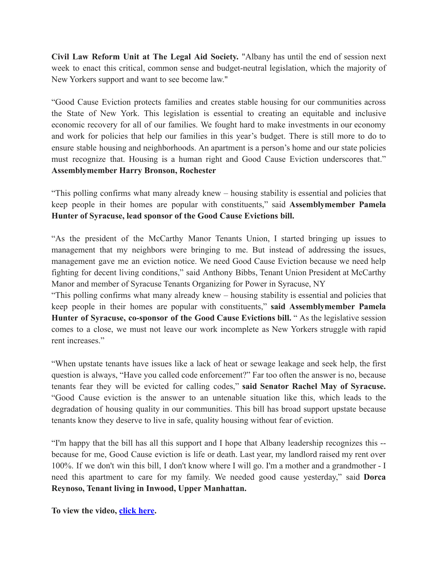**Civil Law Reform Unit at The Legal Aid Society.** "Albany has until the end of session next week to enact this critical, common sense and budget-neutral legislation, which the majority of New Yorkers support and want to see become law."

"Good Cause Eviction protects families and creates stable housing for our communities across the State of New York. This legislation is essential to creating an equitable and inclusive economic recovery for all of our families. We fought hard to make investments in our economy and work for policies that help our families in this year's budget. There is still more to do to ensure stable housing and neighborhoods. An apartment is a person's home and our state policies must recognize that. Housing is a human right and Good Cause Eviction underscores that." **Assemblymember Harry Bronson, Rochester**

"This polling confirms what many already knew – housing stability is essential and policies that keep people in their homes are popular with constituents," said **Assemblymember Pamela Hunter of Syracuse, lead sponsor of the Good Cause Evictions bill.**

"As the president of the McCarthy Manor Tenants Union, I started bringing up issues to management that my neighbors were bringing to me. But instead of addressing the issues, management gave me an eviction notice. We need Good Cause Eviction because we need help fighting for decent living conditions," said Anthony Bibbs, Tenant Union President at McCarthy Manor and member of Syracuse Tenants Organizing for Power in Syracuse, NY

"This polling confirms what many already knew – housing stability is essential and policies that keep people in their homes are popular with constituents," **said Assemblymember Pamela Hunter of Syracuse, co-sponsor of the Good Cause Evictions bill.** " As the legislative session comes to a close, we must not leave our work incomplete as New Yorkers struggle with rapid rent increases"

"When upstate tenants have issues like a lack of heat or sewage leakage and seek help, the first question is always, "Have you called code enforcement?" Far too often the answer is no, because tenants fear they will be evicted for calling codes," **said Senator Rachel May of Syracuse.** "Good Cause eviction is the answer to an untenable situation like this, which leads to the degradation of housing quality in our communities. This bill has broad support upstate because tenants know they deserve to live in safe, quality housing without fear of eviction.

"I'm happy that the bill has all this support and I hope that Albany leadership recognizes this - because for me, Good Cause eviction is life or death. Last year, my landlord raised my rent over 100%. If we don't win this bill, I don't know where I will go. I'm a mother and a grandmother - I need this apartment to care for my family. We needed good cause yesterday," said **Dorca Reynoso, Tenant living in Inwood, Upper Manhattan.**

**To view the video, [click here.](https://nam10.safelinks.protection.outlook.com/?url=https%3A%2F%2Fyoutu.be%2FcVzO6nFYR-s&data=05%7C01%7CJVacanti%40legal-aid.org%7C0c5d8dfe08b44b691ce908da3cf2b29d%7Cf226ccf384ef49ca9b0a9b565b2f0f06%7C0%7C0%7C637889310350581063%7CUnknown%7CTWFpbGZsb3d8eyJWIjoiMC4wLjAwMDAiLCJQIjoiV2luMzIiLCJBTiI6Ik1haWwiLCJXVCI6Mn0%3D%7C3000%7C%7C%7C&sdata=dg%2BaGeWRDqgkgpT6jyOOgTI0NyqLMlwQux5ajZ21ogk%3D&reserved=0)**